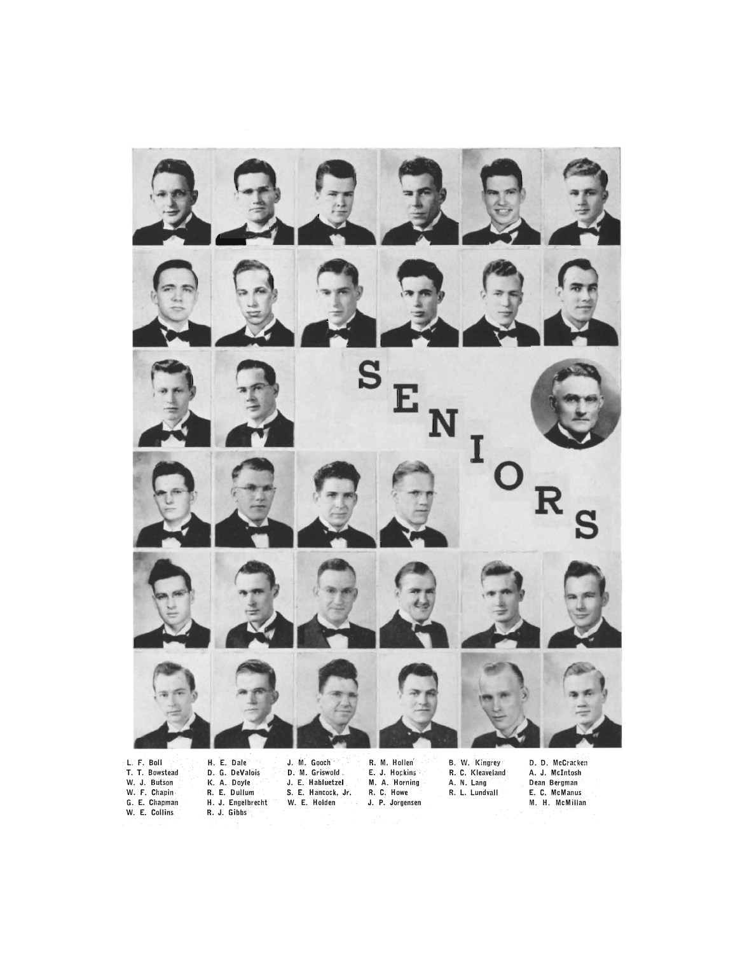

- T. T. Bowstead W. J. Butson W. F. Chapin G. E. Chapman<br>W. E. Collins
- D. G. DeValois K. A. Doyle R. E. Dullum H. J. Engelbrecht<br>R. J. Gibbs
- D. M. Griswold. J. E. Habluetzel S. E. Hancock, Jr. W. E. Holden
- E. J. Hopkins M. A. Horning R. C. Howe J. P. Jorgensen
- R. C. Kleaveland A. N. Lang R. L. Lundvall
- A. J. McIntosh Dean Bergman E. C. McManus M. H. McMillan